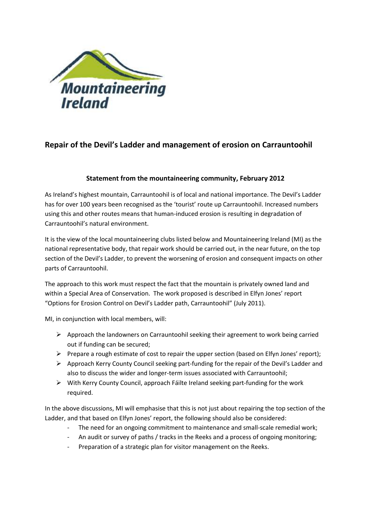

## **Repair of the Devil's Ladder and management of erosion on Carrauntoohil**

## **Statement from the mountaineering community, February 2012**

As Ireland's highest mountain, Carrauntoohil is of local and national importance. The Devil's Ladder has for over 100 years been recognised as the 'tourist' route up Carrauntoohil. Increased numbers using this and other routes means that human-induced erosion is resulting in degradation of Carrauntoohil's natural environment.

It is the view of the local mountaineering clubs listed below and Mountaineering Ireland (MI) as the national representative body, that repair work should be carried out, in the near future, on the top section of the Devil's Ladder, to prevent the worsening of erosion and consequent impacts on other parts of Carrauntoohil.

The approach to this work must respect the fact that the mountain is privately owned land and within a Special Area of Conservation. The work proposed is described in Elfyn Jones' report "Options for Erosion Control on Devil's Ladder path, Carrauntoohil" (July 2011).

MI, in conjunction with local members, will:

- $\triangleright$  Approach the landowners on Carrauntoohil seeking their agreement to work being carried out if funding can be secured;
- $\triangleright$  Prepare a rough estimate of cost to repair the upper section (based on Elfyn Jones' report);
- Approach Kerry County Council seeking part-funding for the repair of the Devil's Ladder and also to discuss the wider and longer-term issues associated with Carrauntoohil;
- $\triangleright$  With Kerry County Council, approach Fáilte Ireland seeking part-funding for the work required.

In the above discussions, MI will emphasise that this is not just about repairing the top section of the Ladder, and that based on Elfyn Jones' report, the following should also be considered:

- The need for an ongoing commitment to maintenance and small-scale remedial work;
- An audit or survey of paths / tracks in the Reeks and a process of ongoing monitoring;
- Preparation of a strategic plan for visitor management on the Reeks.